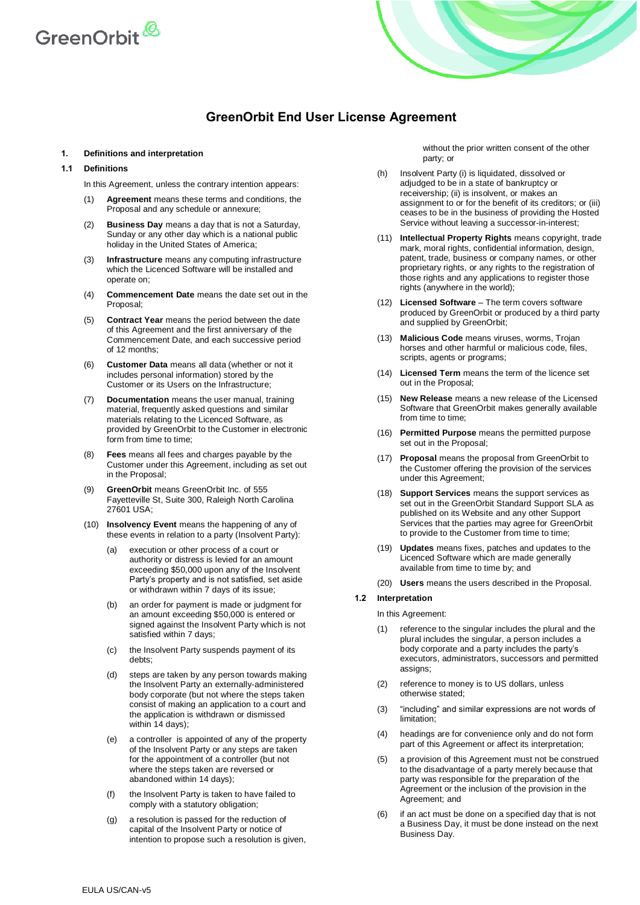

# **GreenOrbit End User License Agreement**

#### **1. Definitions and interpretation**

#### **1.1 Definitions**

In this Agreement, unless the contrary intention appears:

- (1) **Agreement** means these terms and conditions, the Proposal and any schedule or annexure;
- (2) **Business Day** means a day that is not a Saturday, Sunday or any other day which is a national public holiday in the United States of America;
- (3) **Infrastructure** means any computing infrastructure which the Licenced Software will be installed and operate on;
- (4) **Commencement Date** means the date set out in the Proposal;
- (5) **Contract Year** means the period between the date of this Agreement and the first anniversary of the Commencement Date, and each successive period of 12 months;
- **Customer Data** means all data (whether or not it includes personal information) stored by the Customer or its Users on the Infrastructure;
- (7) **Documentation** means the user manual, training material, frequently asked questions and similar materials relating to the Licenced Software, as provided by GreenOrbit to the Customer in electronic form from time to time;
- **Fees** means all fees and charges payable by the Customer under this Agreement, including as set out in the Proposal;
- (9) **GreenOrbit** means GreenOrbit Inc. of 555 Fayetteville St, Suite 300, Raleigh North Carolina 27601 USA;
- (10) **Insolvency Event** means the happening of any of these events in relation to a party (Insolvent Party):
	- (a) execution or other process of a court or authority or distress is levied for an amount exceeding \$50,000 upon any of the Insolvent Party's property and is not satisfied, set aside or withdrawn within 7 days of its issue;
	- (b) an order for payment is made or judgment for an amount exceeding \$50,000 is entered or signed against the Insolvent Party which is not satisfied within 7 days;
	- (c) the Insolvent Party suspends payment of its debts;
	- (d) steps are taken by any person towards making the Insolvent Party an externally-administered body corporate (but not where the steps taken consist of making an application to a court and the application is withdrawn or dismissed within 14 days):
	- (e) a controller is appointed of any of the property of the Insolvent Party or any steps are taken for the appointment of a controller (but not where the steps taken are reversed or abandoned within 14 days);
	- (f) the Insolvent Party is taken to have failed to comply with a statutory obligation;
	- (g) a resolution is passed for the reduction of capital of the Insolvent Party or notice of intention to propose such a resolution is given,

<span id="page-0-0"></span>without the prior written consent of the other party; or

- (h) Insolvent Party (i) is liquidated, dissolved or adjudged to be in a state of bankruptcy or receivership; (ii) is insolvent, or makes an assignment to or for the benefit of its creditors; or (iii) ceases to be in the business of providing the Hosted Service without leaving a successor-in-interest;
- (11) **Intellectual Property Rights** means copyright, trade mark, moral rights, confidential information, design, patent, trade, business or company names, or other proprietary rights, or any rights to the registration of those rights and any applications to register those rights (anywhere in the world);
- (12) **Licensed Software** The term covers software produced by GreenOrbit or produced by a third party and supplied by GreenOrbit;
- (13) **Malicious Code** means viruses, worms, Trojan horses and other harmful or malicious code, files, scripts, agents or programs;
- (14) **Licensed Term** means the term of the licence set out in the Proposal;
- (15) **New Release** means a new release of the Licensed Software that GreenOrbit makes generally available from time to time;
- (16) **Permitted Purpose** means the permitted purpose set out in the Proposal;
- (17) **Proposal** means the proposal from GreenOrbit to the Customer offering the provision of the services under this Agreement;
- (18) **Support Services** means the support services as set out in the GreenOrbit Standard Support SLA as published on its Website and any other Support Services that the parties may agree for GreenOrbit to provide to the Customer from time to time;
- (19) **Updates** means fixes, patches and updates to the Licenced Software which are made generally available from time to time by; and
- (20) **Users** means the users described in the Proposal.

## **1.2 Interpretation**

- In this Agreement:
- (1) reference to the singular includes the plural and the plural includes the singular, a person includes a body corporate and a party includes the party's executors, administrators, successors and permitted assigns;
- (2) reference to money is to US dollars, unless otherwise stated;
- (3) "including" and similar expressions are not words of limitation;
- (4) headings are for convenience only and do not form part of this Agreement or affect its interpretation;
- (5) a provision of this Agreement must not be construed to the disadvantage of a party merely because that party was responsible for the preparation of the Agreement or the inclusion of the provision in the Agreement; and
- (6) if an act must be done on a specified day that is not a Business Day, it must be done instead on the next Business Day.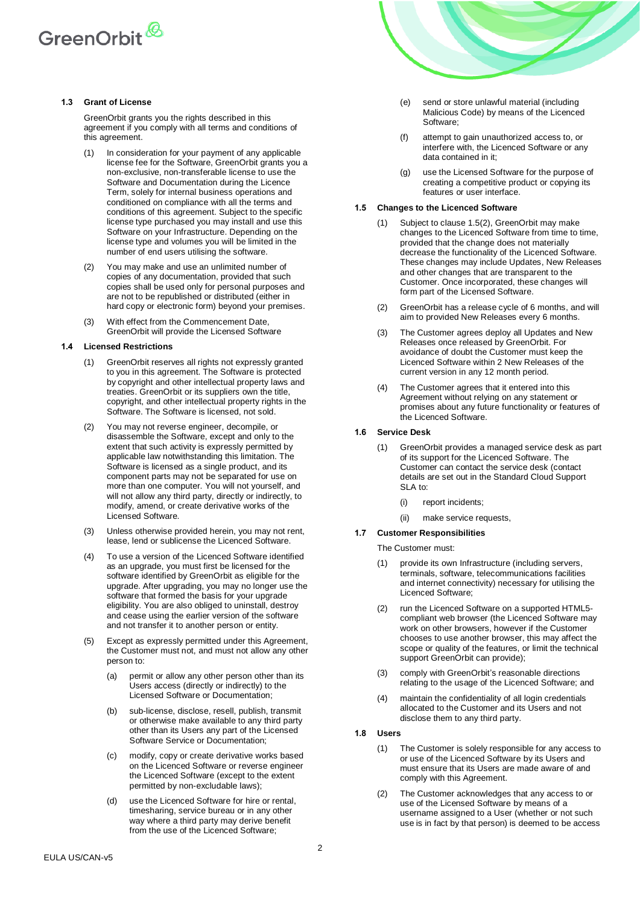

### **1.3 Grant of License**

GreenOrbit grants you the rights described in this agreement if you comply with all terms and conditions of this agreement.

- (1) In consideration for your payment of any applicable license fee for the Software, GreenOrbit grants you a non-exclusive, non-transferable license to use the Software and Documentation during the Licence Term, solely for internal business operations and conditioned on compliance with all the terms and conditions of this agreement. Subject to the specific license type purchased you may install and use this Software on your Infrastructure. Depending on the license type and volumes you will be limited in the number of end users utilising the software.
- (2) You may make and use an unlimited number of copies of any documentation, provided that such copies shall be used only for personal purposes and are not to be republished or distributed (either in hard copy or electronic form) beyond your premises.
- (3) With effect from the Commencement Date, GreenOrbit will provide the Licensed Software

# **1.4 Licensed Restrictions**

- (1) GreenOrbit reserves all rights not expressly granted to you in this agreement. The Software is protected by copyright and other intellectual property laws and treaties. GreenOrbit or its suppliers own the title, copyright, and other intellectual property rights in the Software. The Software is licensed, not sold.
- (2) You may not reverse engineer, decompile, or disassemble the Software, except and only to the extent that such activity is expressly permitted by applicable law notwithstanding this limitation. The Software is licensed as a single product, and its component parts may not be separated for use on more than one computer. You will not yourself, and will not allow any third party, directly or indirectly, to modify, amend, or create derivative works of the Licensed Software.
- (3) Unless otherwise provided herein, you may not rent, lease, lend or sublicense the Licenced Software.
- (4) To use a version of the Licenced Software identified as an upgrade, you must first be licensed for the software identified by GreenOrbit as eligible for the upgrade. After upgrading, you may no longer use the software that formed the basis for your upgrade eligibility. You are also obliged to uninstall, destroy and cease using the earlier version of the software and not transfer it to another person or entity.
- <span id="page-1-1"></span>(5) Except as expressly permitted under this Agreement, the Customer must not, and must not allow any other person to:
	- (a) permit or allow any other person other than its Users access (directly or indirectly) to the Licensed Software or Documentation;
	- (b) sub-license, disclose, resell, publish, transmit or otherwise make available to any third party other than its Users any part of the Licensed Software Service or Documentation;
	- (c) modify, copy or create derivative works based on the Licenced Software or reverse engineer the Licenced Software (except to the extent permitted by non-excludable laws);
	- (d) use the Licenced Software for hire or rental, timesharing, service bureau or in any other way where a third party may derive benefit from the use of the Licenced Software;



- (e) send or store unlawful material (including Malicious Code) by means of the Licenced Software;
- (f) attempt to gain unauthorized access to, or interfere with, the Licenced Software or any data contained in it;
- (g) use the Licensed Software for the purpose of creating a competitive product or copying its features or user interface.

#### **1.5 Changes to the Licenced Software**

- Subject to clause [1.5\(2\),](#page-1-0) GreenOrbit may make changes to the Licenced Software from time to time, provided that the change does not materially decrease the functionality of the Licenced Software. These changes may include Updates, New Releases and other changes that are transparent to the Customer. Once incorporated, these changes will form part of the Licensed Software.
- <span id="page-1-0"></span>(2) GreenOrbit has a release cycle of 6 months, and will aim to provided New Releases every 6 months.
- (3) The Customer agrees deploy all Updates and New Releases once released by GreenOrbit. For avoidance of doubt the Customer must keep the Licenced Software within 2 New Releases of the current version in any 12 month period.
- (4) The Customer agrees that it entered into this Agreement without relying on any statement or promises about any future functionality or features of the Licenced Software.

# **1.6 Service Desk**

- (1) GreenOrbit provides a managed service desk as part of its support for the Licenced Software. The Customer can contact the service desk (contact details are set out in the Standard Cloud Support SLA to:
	- (i) report incidents;
	- (ii) make service requests,

# **1.7 Customer Responsibilities**

The Customer must:

- (1) provide its own Infrastructure (including servers, terminals, software, telecommunications facilities and internet connectivity) necessary for utilising the Licenced Software;
- (2) run the Licenced Software on a supported HTML5 compliant web browser (the Licenced Software may work on other browsers, however if the Customer chooses to use another browser, this may affect the scope or quality of the features, or limit the technical support GreenOrbit can provide);
- (3) comply with GreenOrbit's reasonable directions relating to the usage of the Licenced Software; and
- (4) maintain the confidentiality of all login credentials allocated to the Customer and its Users and not disclose them to any third party.
- **1.8 Users**
	- (1) The Customer is solely responsible for any access to or use of the Licenced Software by its Users and must ensure that its Users are made aware of and comply with this Agreement.
	- (2) The Customer acknowledges that any access to or use of the Licensed Software by means of a username assigned to a User (whether or not such use is in fact by that person) is deemed to be access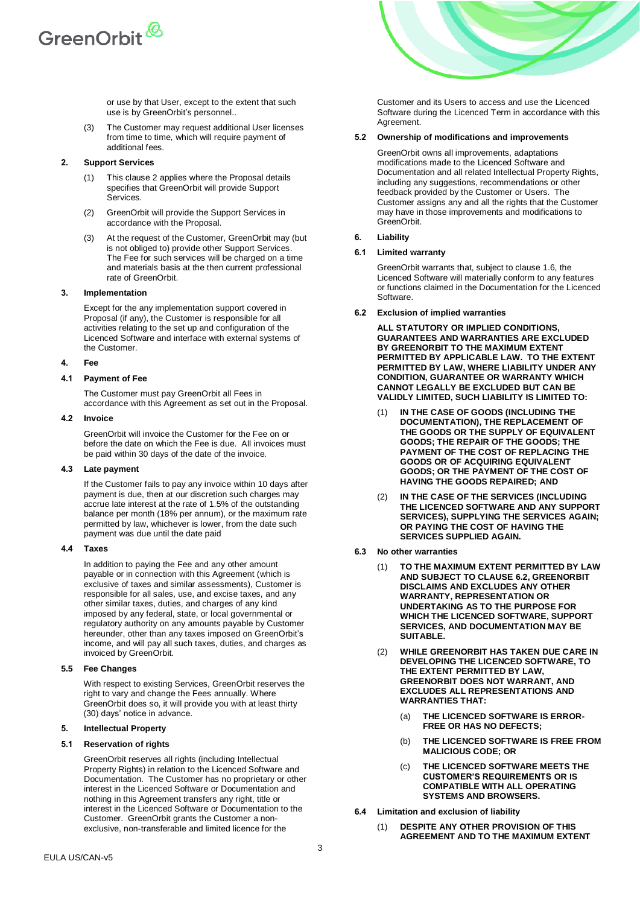

or use by that User, except to the extent that such use is by GreenOrbit's personnel..

(3) The Customer may request additional User licenses from time to time, which will require payment of additional fees.

# <span id="page-2-0"></span>**2. Support Services**

- (1) This clause [2](#page-2-0) applies where the Proposal details specifies that GreenOrbit will provide Support **Services**
- (2) GreenOrbit will provide the Support Services in accordance with the Proposal.
- At the request of the Customer, GreenOrbit may (but is not obliged to) provide other Support Services. The Fee for such services will be charged on a time and materials basis at the then current professional rate of GreenOrbit.

#### **3. Implementation**

Except for the any implementation support covered in Proposal (if any), the Customer is responsible for all activities relating to the set up and configuration of the Licenced Software and interface with external systems of the Customer.

### **4. Fee**

# **4.1 Payment of Fee**

The Customer must pay GreenOrbit all Fees in accordance with this Agreement as set out in the Proposal.

#### **4.2 Invoice**

GreenOrbit will invoice the Customer for the Fee on or before the date on which the Fee is due. All invoices must be paid within 30 days of the date of the invoice.

#### **4.3 Late payment**

If the Customer fails to pay any invoice within 10 days after payment is due, then at our discretion such charges may accrue late interest at the rate of 1.5% of the outstanding balance per month (18% per annum), or the maximum rate permitted by law, whichever is lower, from the date such payment was due until the date paid

#### **4.4 Taxes**

In addition to paying the Fee and any other amount payable or in connection with this Agreement (which is exclusive of taxes and similar assessments), Customer is responsible for all sales, use, and excise taxes, and any other similar taxes, duties, and charges of any kind imposed by any federal, state, or local governmental or regulatory authority on any amounts payable by Customer hereunder, other than any taxes imposed on GreenOrbit's income, and will pay all such taxes, duties, and charges as invoiced by GreenOrbit.

#### **5.5 Fee Changes**

With respect to existing Services, GreenOrbit reserves the right to vary and change the Fees annually. Where GreenOrbit does so, it will provide you with at least thirty (30) days' notice in advance.

# <span id="page-2-2"></span>**5. Intellectual Property**

#### **5.1 Reservation of rights**

GreenOrbit reserves all rights (including Intellectual Property Rights) in relation to the Licenced Software and Documentation. The Customer has no proprietary or other interest in the Licenced Software or Documentation and nothing in this Agreement transfers any right, title or interest in the Licenced Software or Documentation to the Customer. GreenOrbit grants the Customer a nonexclusive, non-transferable and limited licence for the

Customer and its Users to access and use the Licenced Software during the Licenced Term in accordance with this Agreement.

## **5.2 Ownership of modifications and improvements**

GreenOrbit owns all improvements, adaptations modifications made to the Licenced Software and Documentation and all related Intellectual Property Rights, including any suggestions, recommendations or other feedback provided by the Customer or Users. The Customer assigns any and all the rights that the Customer may have in those improvements and modifications to GreenOrbit.

#### <span id="page-2-3"></span>**6. Liability**

#### **6.1 Limited warranty**

GreenOrbit warrants that, subject to clause 1.6, the Licenced Software will materially conform to any features or functions claimed in the Documentation for the Licenced Software.

<span id="page-2-1"></span>**6.2 Exclusion of implied warranties**

**ALL STATUTORY OR IMPLIED CONDITIONS, GUARANTEES AND WARRANTIES ARE EXCLUDED BY GREENORBIT TO THE MAXIMUM EXTENT PERMITTED BY APPLICABLE LAW. TO THE EXTENT PERMITTED BY LAW, WHERE LIABILITY UNDER ANY CONDITION, GUARANTEE OR WARRANTY WHICH CANNOT LEGALLY BE EXCLUDED BUT CAN BE VALIDLY LIMITED, SUCH LIABILITY IS LIMITED TO:** 

- (1) **IN THE CASE OF GOODS (INCLUDING THE DOCUMENTATION), THE REPLACEMENT OF THE GOODS OR THE SUPPLY OF EQUIVALENT GOODS; THE REPAIR OF THE GOODS; THE PAYMENT OF THE COST OF REPLACING THE GOODS OR OF ACQUIRING EQUIVALENT GOODS; OR THE PAYMENT OF THE COST OF HAVING THE GOODS REPAIRED; AND**
- (2) **IN THE CASE OF THE SERVICES (INCLUDING THE LICENCED SOFTWARE AND ANY SUPPORT SERVICES), SUPPLYING THE SERVICES AGAIN; OR PAYING THE COST OF HAVING THE SERVICES SUPPLIED AGAIN.**
- **6.3 No other warranties**
	- (1) **TO THE MAXIMUM EXTENT PERMITTED BY LAW AND SUBJECT TO CLAUSE [6.2,](#page-2-1) GREENORBIT DISCLAIMS AND EXCLUDES ANY OTHER WARRANTY, REPRESENTATION OR UNDERTAKING AS TO THE PURPOSE FOR WHICH THE LICENCED SOFTWARE, SUPPORT SERVICES, AND DOCUMENTATION MAY BE SUITABLE.**
	- (2) **WHILE GREENORBIT HAS TAKEN DUE CARE IN DEVELOPING THE LICENCED SOFTWARE, TO THE EXTENT PERMITTED BY LAW, GREENORBIT DOES NOT WARRANT, AND EXCLUDES ALL REPRESENTATIONS AND WARRANTIES THAT:**
		- (a) **THE LICENCED SOFTWARE IS ERROR-FREE OR HAS NO DEFECTS;**
		- (b) **THE LICENCED SOFTWARE IS FREE FROM MALICIOUS CODE; OR**
		- (c) **THE LICENCED SOFTWARE MEETS THE CUSTOMER'S REQUIREMENTS OR IS COMPATIBLE WITH ALL OPERATING SYSTEMS AND BROWSERS.**
- **6.4 Limitation and exclusion of liability**
	- (1) **DESPITE ANY OTHER PROVISION OF THIS AGREEMENT AND TO THE MAXIMUM EXTENT**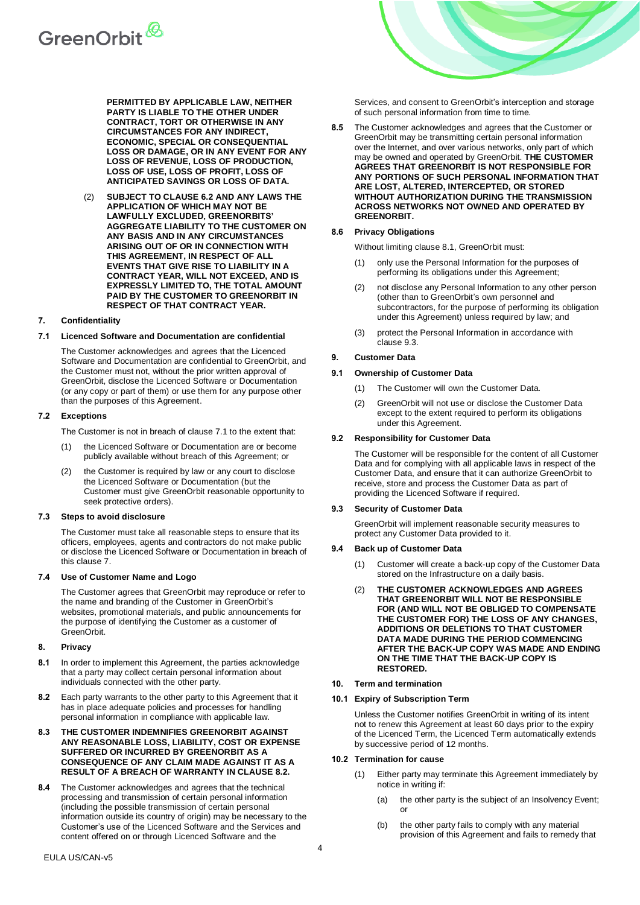

**PERMITTED BY APPLICABLE LAW, NEITHER PARTY IS LIABLE TO THE OTHER UNDER CONTRACT, TORT OR OTHERWISE IN ANY CIRCUMSTANCES FOR ANY INDIRECT, ECONOMIC, SPECIAL OR CONSEQUENTIAL LOSS OR DAMAGE, OR IN ANY EVENT FOR ANY LOSS OF REVENUE, LOSS OF PRODUCTION, LOSS OF USE, LOSS OF PROFIT, LOSS OF ANTICIPATED SAVINGS OR LOSS OF DATA.**

(2) **SUBJECT TO CLAUSE [6.2](#page-2-1) AND ANY LAWS THE APPLICATION OF WHICH MAY NOT BE LAWFULLY EXCLUDED, GREENORBITS' AGGREGATE LIABILITY TO THE CUSTOMER ON ANY BASIS AND IN ANY CIRCUMSTANCES ARISING OUT OF OR IN CONNECTION WITH THIS AGREEMENT, IN RESPECT OF ALL EVENTS THAT GIVE RISE TO LIABILITY IN A CONTRACT YEAR, WILL NOT EXCEED, AND IS EXPRESSLY LIMITED TO, THE TOTAL AMOUNT PAID BY THE CUSTOMER TO GREENORBIT IN RESPECT OF THAT CONTRACT YEAR.**

# <span id="page-3-1"></span>**7. Confidentiality**

#### <span id="page-3-0"></span>**7.1 Licenced Software and Documentation are confidential**

The Customer acknowledges and agrees that the Licenced Software and Documentation are confidential to GreenOrbit, and the Customer must not, without the prior written approval of GreenOrbit, disclose the Licenced Software or Documentation (or any copy or part of them) or use them for any purpose other than the purposes of this Agreement.

#### **7.2 Exceptions**

- The Customer is not in breach of clause [7.1](#page-3-0) to the extent that:
- (1) the Licenced Software or Documentation are or become publicly available without breach of this Agreement; or
- (2) the Customer is required by law or any court to disclose the Licenced Software or Documentation (but the Customer must give GreenOrbit reasonable opportunity to seek protective orders).

#### **7.3 Steps to avoid disclosure**

The Customer must take all reasonable steps to ensure that its officers, employees, agents and contractors do not make public or disclose the Licenced Software or Documentation in breach of this clause [7.](#page-3-1)

#### **7.4 Use of Customer Name and Logo**

The Customer agrees that GreenOrbit may reproduce or refer to the name and branding of the Customer in GreenOrbit's websites, promotional materials, and public announcements for the purpose of identifying the Customer as a customer of GreenOrbit.

#### **8. Privacy**

- <span id="page-3-3"></span>**8.1** In order to implement this Agreement, the parties acknowledge that a party may collect certain personal information about individuals connected with the other party.
- <span id="page-3-2"></span>**8.2** Each party warrants to the other party to this Agreement that it has in place adequate policies and processes for handling personal information in compliance with applicable law.
- **8.3 THE CUSTOMER INDEMNIFIES GREENORBIT AGAINST ANY REASONABLE LOSS, LIABILITY, COST OR EXPENSE SUFFERED OR INCURRED BY GREENORBIT AS A CONSEQUENCE OF ANY CLAIM MADE AGAINST IT AS A RESULT OF A BREACH OF WARRANTY IN CLAUSE [8.2.](#page-3-2)**
- **8.4** The Customer acknowledges and agrees that the technical processing and transmission of certain personal information (including the possible transmission of certain personal information outside its country of origin) may be necessary to the Customer's use of the Licenced Software and the Services and content offered on or through Licenced Software and the

Services, and consent to GreenOrbit's interception and storage of such personal information from time to time.

**8.5** The Customer acknowledges and agrees that the Customer or GreenOrbit may be transmitting certain personal information over the Internet, and over various networks, only part of which may be owned and operated by GreenOrbit. **THE CUSTOMER AGREES THAT GREENORBIT IS NOT RESPONSIBLE FOR ANY PORTIONS OF SUCH PERSONAL INFORMATION THAT ARE LOST, ALTERED, INTERCEPTED, OR STORED WITHOUT AUTHORIZATION DURING THE TRANSMISSION ACROSS NETWORKS NOT OWNED AND OPERATED BY GREENORBIT.**

# **8.6 Privacy Obligations**

Without limiting clause [8.1,](#page-3-3) GreenOrbit must:

- (1) only use the Personal Information for the purposes of performing its obligations under this Agreement;
- (2) not disclose any Personal Information to any other person (other than to GreenOrbit's own personnel and subcontractors, for the purpose of performing its obligation under this Agreement) unless required by law; and
- (3) protect the Personal Information in accordance with clause [9.3.](#page-3-4)

# <span id="page-3-6"></span>**9. Customer Data**

## **9.1 Ownership of Customer Data**

- (1) The Customer will own the Customer Data.
- (2) GreenOrbit will not use or disclose the Customer Data except to the extent required to perform its obligations under this Agreement.

#### **9.2 Responsibility for Customer Data**

The Customer will be responsible for the content of all Customer Data and for complying with all applicable laws in respect of the Customer Data, and ensure that it can authorize GreenOrbit to receive, store and process the Customer Data as part of providing the Licenced Software if required.

#### <span id="page-3-4"></span>**9.3 Security of Customer Data**

GreenOrbit will implement reasonable security measures to protect any Customer Data provided to it.

#### **9.4 Back up of Customer Data**

- (1) Customer will create a back-up copy of the Customer Data stored on the Infrastructure on a daily basis.
- (2) **THE CUSTOMER ACKNOWLEDGES AND AGREES THAT GREENORBIT WILL NOT BE RESPONSIBLE FOR (AND WILL NOT BE OBLIGED TO COMPENSATE THE CUSTOMER FOR) THE LOSS OF ANY CHANGES, ADDITIONS OR DELETIONS TO THAT CUSTOMER DATA MADE DURING THE PERIOD COMMENCING AFTER THE BACK-UP COPY WAS MADE AND ENDING ON THE TIME THAT THE BACK-UP COPY IS RESTORED.**

#### **10. Term and termination**

#### **10.1 Expiry of Subscription Term**

Unless the Customer notifies GreenOrbit in writing of its intent not to renew this Agreement at least 60 days prior to the expiry of the Licenced Term, the Licenced Term automatically extends by successive period of 12 months.

# <span id="page-3-5"></span>**10.2 Termination for cause**

- (1) Either party may terminate this Agreement immediately by notice in writing if:
	- (a) the other party is the subject of an Insolvency Event; or
	- (b) the other party fails to comply with any material provision of this Agreement and fails to remedy that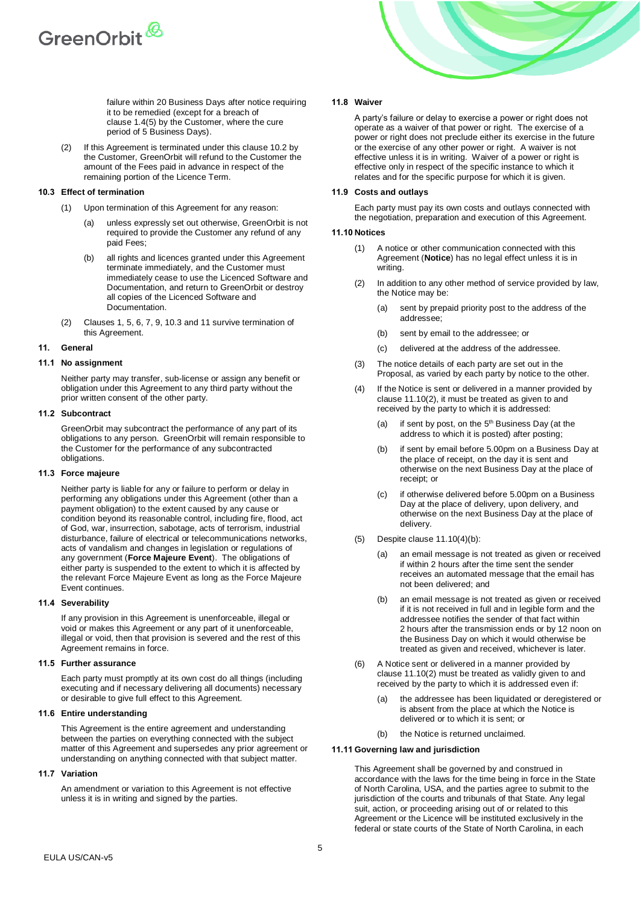

failure within 20 Business Days after notice requiring it to be remedied (except for a breach of clause [1.4\(5\)](#page-1-1) by the Customer, where the cure period of 5 Business Days).

(2) If this Agreement is terminated under this clause [10.2](#page-3-5) by the Customer, GreenOrbit will refund to the Customer the amount of the Fees paid in advance in respect of the remaining portion of the Licence Term.

#### <span id="page-4-0"></span>**10.3 Effect of termination**

- (1) Upon termination of this Agreement for any reason:
	- unless expressly set out otherwise, GreenOrbit is not required to provide the Customer any refund of any paid Fees;
	- (b) all rights and licences granted under this Agreement terminate immediately, and the Customer must immediately cease to use the Licenced Software and Documentation, and return to GreenOrbit or destroy all copies of the Licenced Software and Documentation.
- Clauses [1,](#page-0-0) [5,](#page-2-2) [6,](#page-2-3) [7,](#page-3-1) [9,](#page-3-6) [10.3](#page-4-0) and [11](#page-4-1) survive termination of this Agreement.

# <span id="page-4-1"></span>**11. General**

#### **11.1 No assignment**

Neither party may transfer, sub-license or assign any benefit or obligation under this Agreement to any third party without the prior written consent of the other party.

#### **11.2 Subcontract**

GreenOrbit may subcontract the performance of any part of its obligations to any person. GreenOrbit will remain responsible to the Customer for the performance of any subcontracted obligations.

#### **11.3 Force majeure**

Neither party is liable for any or failure to perform or delay in performing any obligations under this Agreement (other than a payment obligation) to the extent caused by any cause or condition beyond its reasonable control, including fire, flood, act of God, war, insurrection, sabotage, acts of terrorism, industrial disturbance, failure of electrical or telecommunications networks, acts of vandalism and changes in legislation or regulations of any government (**Force Majeure Event**). The obligations of either party is suspended to the extent to which it is affected by the relevant Force Majeure Event as long as the Force Majeure Event continues.

#### **11.4 Severability**

If any provision in this Agreement is unenforceable, illegal or void or makes this Agreement or any part of it unenforceable, illegal or void, then that provision is severed and the rest of this Agreement remains in force.

# **11.5 Further assurance**

Each party must promptly at its own cost do all things (including executing and if necessary delivering all documents) necessary or desirable to give full effect to this Agreement.

#### **11.6 Entire understanding**

This Agreement is the entire agreement and understanding between the parties on everything connected with the subject matter of this Agreement and supersedes any prior agreement or understanding on anything connected with that subject matter.

#### **11.7 Variation**

An amendment or variation to this Agreement is not effective unless it is in writing and signed by the parties.



#### **11.8 Waiver**

A party's failure or delay to exercise a power or right does not operate as a waiver of that power or right. The exercise of a power or right does not preclude either its exercise in the future or the exercise of any other power or right. A waiver is not effective unless it is in writing. Waiver of a power or right is effective only in respect of the specific instance to which it relates and for the specific purpose for which it is given.

#### **11.9 Costs and outlays**

Each party must pay its own costs and outlays connected with the negotiation, preparation and execution of this Agreement.

## **11.10 Notices**

- (1) A notice or other communication connected with this Agreement (**Notice**) has no legal effect unless it is in writing.
- <span id="page-4-2"></span>In addition to any other method of service provided by law, the Notice may be:
	- (a) sent by prepaid priority post to the address of the addressee;
	- (b) sent by email to the addressee; or
	- (c) delivered at the address of the addressee.
- (3) The notice details of each party are set out in the Proposal, as varied by each party by notice to the other.
- <span id="page-4-3"></span>(4) If the Notice is sent or delivered in a manner provided by clause [11.10\(2\),](#page-4-2) it must be treated as given to and received by the party to which it is addressed:
	- (a) if sent by post, on the  $5<sup>th</sup>$  Business Day (at the address to which it is posted) after posting;
	- (b) if sent by email before 5.00pm on a Business Day at the place of receipt, on the day it is sent and otherwise on the next Business Day at the place of receipt; or
	- (c) if otherwise delivered before 5.00pm on a Business Day at the place of delivery, upon delivery, and otherwise on the next Business Day at the place of delivery.
- (5) Despite clause [11.10\(4\)\(b\):](#page-4-3)
	- (a) an email message is not treated as given or received if within 2 hours after the time sent the sender receives an automated message that the email has not been delivered; and
	- (b) an email message is not treated as given or received if it is not received in full and in legible form and the addressee notifies the sender of that fact within 2 hours after the transmission ends or by 12 noon on the Business Day on which it would otherwise be treated as given and received, whichever is later.
- (6) A Notice sent or delivered in a manner provided by clause [11.10\(2\)](#page-4-2) must be treated as validly given to and received by the party to which it is addressed even if:
	- (a) the addressee has been liquidated or deregistered or is absent from the place at which the Notice is delivered or to which it is sent; or
	- (b) the Notice is returned unclaimed.

#### **11.11 Governing law and jurisdiction**

This Agreement shall be governed by and construed in accordance with the laws for the time being in force in the State of North Carolina, USA, and the parties agree to submit to the jurisdiction of the courts and tribunals of that State. Any legal suit, action, or proceeding arising out of or related to this Agreement or the Licence will be instituted exclusively in the federal or state courts of the State of North Carolina, in each